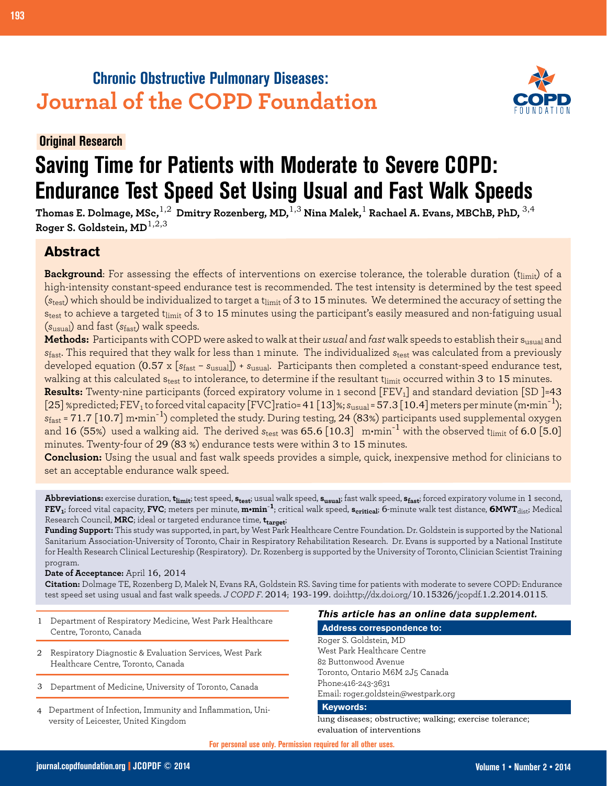## **Chronic Obstructive Pulmonary Diseases: Journal of the COPD Foundation**



## **Original Research**

# **Saving Time for Patients with Moderate to Severe COPD: Endurance Test Speed Set Using Usual and Fast Walk Speeds**

**Thomas E. Dolmage, MSc,**1,2 **Dmitry Rozenberg, MD,**1,3 **Nina Malek,**1 **Rachael A. Evans, MBChB, PhD,** 3,4 **Roger S. Goldstein, MD**1,2,3

## **Abstract**

**Background**: For assessing the effects of interventions on exercise tolerance, the tolerable duration (t<sub>limit</sub>) of a high-intensity constant-speed endurance test is recommended. The test intensity is determined by the test speed (s<sub>test</sub>) which should be individualized to target a t<sub>limit</sub> of 3 to 15 minutes. We determined the accuracy of setting the s<sub>test</sub> to achieve a targeted t<sub>limit</sub> of 3 to 15 minutes using the participant's easily measured and non-fatiguing usual (*s*usual) and fast (*s*fast) walk speeds.

**Methods:** Participants with COPD were asked to walk at their *usual* and *fast* walk speeds to establish their susual and *s*fast. This required that they walk for less than 1 minute. The individualized *s*test was calculated from a previously developed equation (0.57 x [*s*fast – *s*usual]) + *s*usual. Participants then completed a constant-speed endurance test, walking at this calculated s<sub>test</sub> to intolerance, to determine if the resultant t<sub>limit</sub> occurred within 3 to 15 minutes.

**Results:** Twenty-nine participants (forced expiratory volume in 1 second [FEV<sub>1</sub>] and standard deviation [SD ]=43 [25] %predicted; FEV<sub>1</sub> to forced vital capacity [FVC] ratio= 41 [13] %;  $s_{\text{usual}}$  = 57.3 [10.4] meters per minute (m•min<sup>-1</sup>); *s*fast = 71.7 [10.7] m•min-1) completed the study. During testing, 24 (83%) participants used supplemental oxygen and 16 (55%) used a walking aid. The derived  $s_{\text{test}}$  was 65.6 [10.3]  $\,$  m•min $^{-1}$  with the observed t $_{\text{limit}}$  of 6.0 [5.0] minutes. Twenty-four of 29 (83 %) endurance tests were within 3 to 15 minutes.

**Conclusion:** Using the usual and fast walk speeds provides a simple, quick, inexpensive method for clinicians to set an acceptable endurance walk speed.

**Abbreviations:** exercise duration, **tlimit**; test speed, **stest**; usual walk speed, **susual**; fast walk speed, **sfast**; forced expiratory volume in 1 second, **FEV1**; forced vital capacity, **FVC**; meters per minute, **m•min**-**1**; critical walk speed, **scritical**; 6-minute walk test distance, **6MWT**dist; Medical Research Council, **MRC**; ideal or targeted endurance time, **ttarget**;

**Funding Support:** This study was supported, in part, by West Park Healthcare Centre Foundation. Dr. Goldstein is supported by the National Sanitarium Association-University of Toronto, Chair in Respiratory Rehabilitation Research. Dr. Evans is supported by a National Institute for Health Research Clinical Lectureship (Respiratory). Dr. Rozenberg is supported by the University of Toronto, Clinician Scientist Training program.

#### **Date of Acceptance:** April 16, 2014

**Citation:** Dolmage TE, Rozenberg D, Malek N, Evans RA, Goldstein RS. Saving time for patients with moderate to severe COPD: Endurance test speed set using usual and fast walk speeds. *J COPD F*. 2014; 193-199. doi:http://dx.doi.org/10.15326/jcopdf.1.2.2014.0115.

- Department of Respiratory Medicine, West Park Healthcare Centre, Toronto, Canada 1
- 2 Respiratory Diagnostic & Evaluation Services, West Park Healthcare Centre, Toronto, Canada
- Department of Medicine, University of Toronto, Canada 3
- Department of Infection, Immunity and Inflammation, Uni-4 versity of Leicester, United Kingdom

#### *This article has an online data supplement.*

**Address correspondence to:**

Roger S. Goldstein, MD West Park Healthcare Centre 82 Buttonwood Avenue Toronto, Ontario M6M 2J5 Canada Phone:416-243-3631 Email: roger.goldstein@westpark.org

#### **Keywords:**

lung diseases; obstructive; walking; exercise tolerance; evaluation of interventions

**For personal use only. Permission required for all other uses.**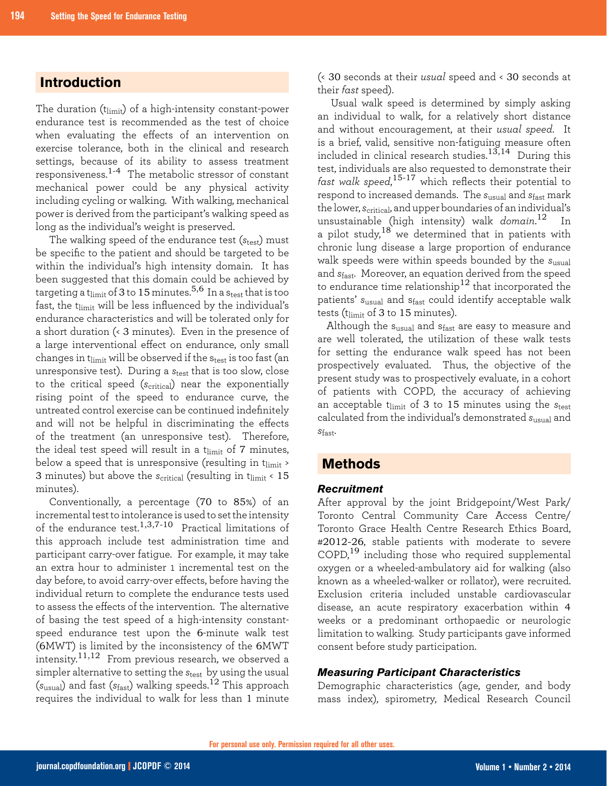## **Introduction**

The duration (t<sub>limit</sub>) of a high-intensity constant-power endurance test is recommended as the test of choice when evaluating the effects of an intervention on exercise tolerance, both in the clinical and research settings, because of its ability to assess treatment responsiveness.1-4 The metabolic stressor of constant mechanical power could be any physical activity including cycling or walking. With walking, mechanical power is derived from the participant's walking speed as long as the individual's weight is preserved.

The walking speed of the endurance test (*s*<sub>test</sub>) must be specific to the patient and should be targeted to be within the individual's high intensity domain. It has been suggested that this domain could be achieved by targeting a t<sub>limit</sub> of 3 to 15 minutes.<sup>5,6</sup> In a s<sub>test</sub> that is too fast, the tlimit will be less influenced by the individual's endurance characteristics and will be tolerated only for a short duration (< 3 minutes). Even in the presence of a large interventional effect on endurance, only small changes in t $_{\text{limit}}$  will be observed if the  $s_{\text{test}}$  is too fast (an unresponsive test). During a *s*<sub>test</sub> that is too slow, close to the critical speed (*s<sub>critica</sub>*) near the exponentially rising point of the speed to endurance curve, the untreated control exercise can be continued indefinitely and will not be helpful in discriminating the effects of the treatment (an unresponsive test). Therefore, the ideal test speed will result in a  $t_{\text{limit}}$  of 7 minutes, below a speed that is unresponsive (resulting in  $t_{\text{limit}}$ ) 3 minutes) but above the *s*<sub>critical</sub> (resulting in t<sub>limit</sub> < 15 minutes).

Conventionally, a percentage (70 to 85%) of an incremental test to intolerance is used to set the intensity of the endurance test.<sup>1,3,7-10</sup> Practical limitations of this approach include test administration time and participant carry-over fatigue. For example, it may take an extra hour to administer 1 incremental test on the day before, to avoid carry-over effects, before having the individual return to complete the endurance tests used to assess the effects of the intervention. The alternative of basing the test speed of a high-intensity constantspeed endurance test upon the 6-minute walk test (6MWT) is limited by the inconsistency of the 6MWT intensity.11,12 From previous research, we observed a simpler alternative to setting the  $s_{test}$  by using the usual (*s*usual) and fast (*s*fast) walking speeds.<sup>12</sup> This approach requires the individual to walk for less than 1 minute

(< 30 seconds at their *usual* speed and < 30 seconds at their *fast* speed).

Usual walk speed is determined by simply asking an individual to walk, for a relatively short distance and without encouragement, at their *usual speed*. It is a brief, valid, sensitive non-fatiguing measure often included in clinical research studies.13,14 During this test, individuals are also requested to demonstrate their *fast walk speed*, 15-17 which reflects their potential to respond to increased demands. The *s*usual and *s*fast mark the lower, *s*critical, and upper boundaries of an individual's unsustainable (high intensity) walk *domain*. <sup>12</sup> In a pilot study,  $18$  we determined that in patients with chronic lung disease a large proportion of endurance walk speeds were within speeds bounded by the *s*usual and *s*fast. Moreover, an equation derived from the speed to endurance time relationship<sup>12</sup> that incorporated the patients' *s*usual and sfast could identify acceptable walk tests ( $t_{\text{limit}}$  of 3 to 15 minutes).

Although the susual and sfast are easy to measure and are well tolerated, the utilization of these walk tests for setting the endurance walk speed has not been prospectively evaluated. Thus, the objective of the present study was to prospectively evaluate, in a cohort of patients with COPD, the accuracy of achieving an acceptable t<sub>limit</sub> of 3 to 15 minutes using the  $s_{test}$ calculated from the individual's demonstrated *s*usual and *s*fast.

## **Methods**

#### *Recruitment*

After approval by the joint Bridgepoint/West Park/ Toronto Central Community Care Access Centre/ Toronto Grace Health Centre Research Ethics Board, #2012-26, stable patients with moderate to severe  $\text{COPD}$ ,<sup>19</sup> including those who required supplemental oxygen or a wheeled-ambulatory aid for walking (also known as a wheeled-walker or rollator), were recruited. Exclusion criteria included unstable cardiovascular disease, an acute respiratory exacerbation within 4 weeks or a predominant orthopaedic or neurologic limitation to walking. Study participants gave informed consent before study participation.

#### *Measuring Participant Characteristics*

Demographic characteristics (age, gender, and body mass index), spirometry, Medical Research Council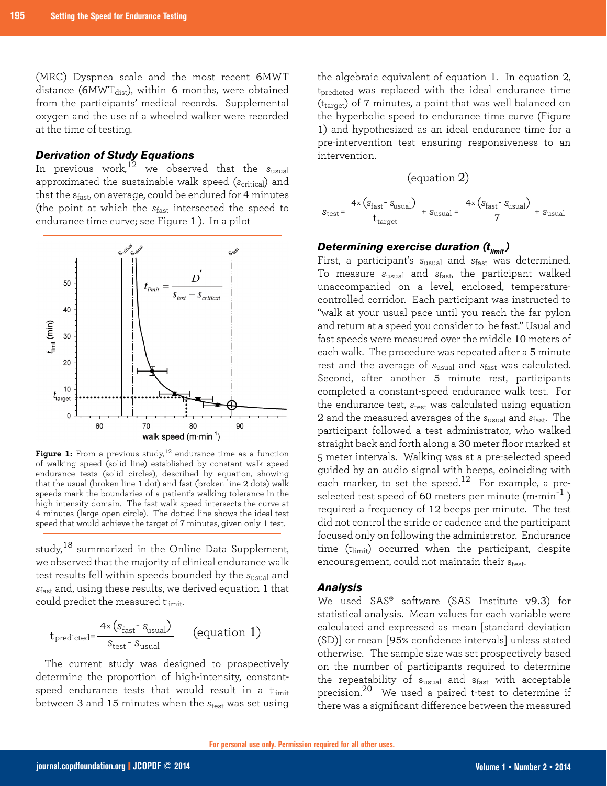(MRC) Dyspnea scale and the most recent 6MWT distance ( $6MWT<sub>dist</sub>$ ), within 6 months, were obtained from the participants' medical records. Supplemental oxygen and the use of a wheeled walker were recorded at the time of testing.

#### *Derivation of Study Equations*

In previous work,12 we observed that the *s*usual approximated the sustainable walk speed (*s<sub>critica</sub>*) and that the  $s_{\text{fast}}$ , on average, could be endured for 4 minutes (the point at which the *s*fast intersected the speed to endurance time curve; see Figure 1 ). In a pilot



Figure 1: From a previous study,<sup>12</sup> endurance time as a function of walking speed (solid line) established by constant walk speed endurance tests (solid circles), described by equation, showing that the usual (broken line 1 dot) and fast (broken line 2 dots) walk speeds mark the boundaries of a patient's walking tolerance in the high intensity domain. The fast walk speed intersects the curve at 4 minutes (large open circle). The dotted line shows the ideal test speed that would achieve the target of 7 minutes, given only 1 test.

study,<sup>18</sup> summarized in the Online Data Supplement, we observed that the majority of clinical endurance walk test results fell within speeds bounded by the *s*usual and *s*fast and, using these results, we derived equation 1 that could predict the measured tlimit.

$$
t_{\text{predicted}} = \frac{4 \times (s_{\text{fast}} - s_{\text{usual}})}{s_{\text{test}} - s_{\text{usual}}}
$$
 (equation 1)

The current study was designed to prospectively determine the proportion of high-intensity, constantspeed endurance tests that would result in a t $_{\rm limit}$ between 3 and 15 minutes when the *s*test was set using

the algebraic equivalent of equation 1. In equation 2, t<sub>predicted</sub> was replaced with the ideal endurance time  $(t<sub>target</sub>)$  of 7 minutes, a point that was well balanced on the hyperbolic speed to endurance time curve (Figure 1) and hypothesized as an ideal endurance time for a pre-intervention test ensuring responsiveness to an intervention.

#### (equation 2)

$$
S_{\text{test}} = \frac{4 \times \left( S_{\text{fast}} - S_{\text{usual}} \right)}{t_{\text{target}}} + S_{\text{usual}} = \frac{4 \times \left( S_{\text{fast}} - S_{\text{usual}} \right)}{7} + S_{\text{usual}}
$$

## *Determining exercise duration (t<sub>limit</sub>)*

First, a participant's *s*usual and *s*fast was determined. To measure *s*usual and *s*fast, the participant walked unaccompanied on a level, enclosed, temperaturecontrolled corridor. Each participant was instructed to "walk at your usual pace until you reach the far pylon and return at a speed you consider to be fast." Usual and fast speeds were measured over the middle 10 meters of each walk. The procedure was repeated after a 5 minute rest and the average of *s*usual and *s*fast was calculated. Second, after another 5 minute rest, participants completed a constant-speed endurance walk test. For the endurance test, *s*test was calculated using equation 2 and the measured averages of the *s*usual and *s*fast. The participant followed a test administrator, who walked straight back and forth along a 30 meter floor marked at 5 meter intervals. Walking was at a pre-selected speed guided by an audio signal with beeps, coinciding with each marker, to set the speed.<sup>12</sup> For example, a preselected test speed of 60 meters per minute  $(m\cdot min^{-1})$ required a frequency of 12 beeps per minute. The test did not control the stride or cadence and the participant focused only on following the administrator. Endurance time (tlimit) occurred when the participant, despite encouragement, could not maintain their stest.

#### *Analysis*

We used SAS® software (SAS Institute v9.3) for statistical analysis. Mean values for each variable were calculated and expressed as mean [standard deviation (SD)] or mean [95% confidence intervals] unless stated otherwise. The sample size was set prospectively based on the number of participants required to determine the repeatability of susual and sfast with acceptable precision.20 We used a paired t-test to determine if there was a significant difference between the measured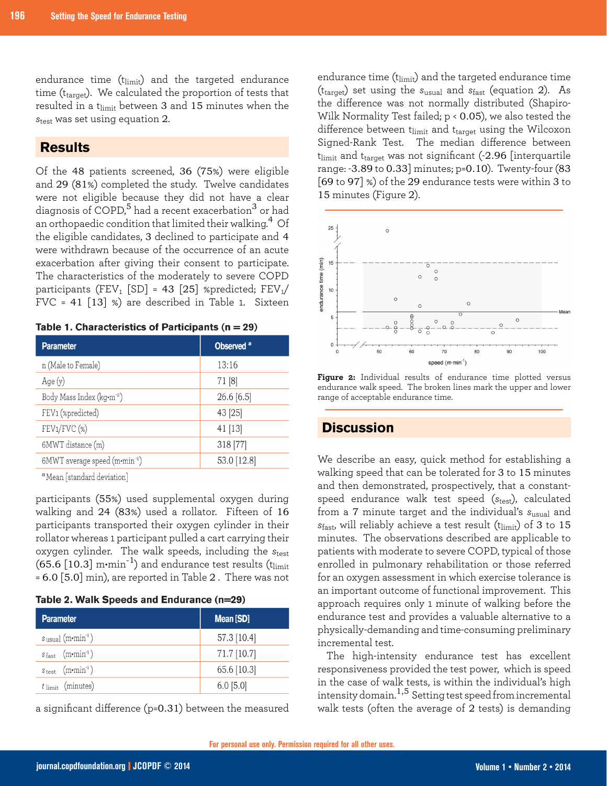endurance time (tlimit) and the targeted endurance time (t<sub>target</sub>). We calculated the proportion of tests that resulted in a tlimit between 3 and 15 minutes when the  $s_{test}$  was set using equation 2.

## **Results**

Of the 48 patients screened, 36 (75%) were eligible and 29 (81%) completed the study. Twelve candidates were not eligible because they did not have a clear diagnosis of COPD, $5$  had a recent exacerbation $3$  or had an orthopaedic condition that limited their walking.<sup>4</sup> Of the eligible candidates, 3 declined to participate and 4 were withdrawn because of the occurrence of an acute exacerbation after giving their consent to participate. The characteristics of the moderately to severe COPD participants (FEV<sub>1</sub> [SD] = 43 [25] %predicted; FEV<sub>1</sub>/ FVC = 41 [13] %) are described in Table 1. Sixteen

| <b>Parameter</b>                          | Observed <sup>a</sup> |
|-------------------------------------------|-----------------------|
| n (Male to Female)                        | 13:16                 |
| Age(y)                                    | 71 [8]                |
| Body Mass Index (kg·m <sup>-2</sup> )     | $26.6$ [6.5]          |
| FEV1 (%predicted)                         | 43 [25]               |
| FEV1/FVC (%)                              | 41 [13]               |
| 6MWT distance (m)                         | 318 [77]              |
| 6MWT average speed (m·min <sup>-1</sup> ) | 53.0 [12.8]           |
| $231$ $11$ $11$                           |                       |

|  |  | Table 1. Characteristics of Participants ( $n = 29$ ) |  |  |  |
|--|--|-------------------------------------------------------|--|--|--|
|--|--|-------------------------------------------------------|--|--|--|

<sup>a</sup>Mean [standard deviation]

participants (55%) used supplemental oxygen during walking and 24 (83%) used a rollator. Fifteen of 16 participants transported their oxygen cylinder in their rollator whereas 1 participant pulled a cart carrying their oxygen cylinder. The walk speeds, including the *s*test (65.6  $[10.3]$  m·min<sup>-1</sup>) and endurance test results (t<sub>limit</sub>  $= 6.0$  [5.0] min), are reported in Table 2. There was not

|  |  |  |  | Table 2. Walk Speeds and Endurance (n=29) |  |
|--|--|--|--|-------------------------------------------|--|
|--|--|--|--|-------------------------------------------|--|

| <b>Parameter</b>                            | Mean [SD]   |
|---------------------------------------------|-------------|
| $s$ <sub>usual</sub> (m·min <sup>-1</sup> ) | 57.3 [10.4] |
| $s_{\text{fast}}$ (m.min <sup>-1</sup> )    | 71.7 [10.7] |
| $s_{test}$ (m·min <sup>-1</sup> )           | 65.6 [10.3] |
| $t$ limit (minutes)                         | $6.0$ [5.0] |

a significant difference (p=0.31) between the measured

endurance time  $(t_{limit})$  and the targeted endurance time (ttarget) set using the *s*usual and *s*fast (equation 2). As the difference was not normally distributed (Shapiro-Wilk Normality Test failed; p < 0.05), we also tested the difference between t $_{limit}$  and t $_{target}$  using the Wilcoxon Signed-Rank Test. The median difference between  $t_{limit}$  and  $t_{target}$  was not significant (-2.96 [interquartile range: -3.89 to 0.33] minutes; p=0.10). Twenty-four (83 [69 to 97] %) of the 29 endurance tests were within 3 to 15 minutes (Figure 2).



**Figure 2:** Individual results of endurance time plotted versus endurance walk speed. The broken lines mark the upper and lower range of acceptable endurance time.

## **Discussion**

We describe an easy, quick method for establishing a walking speed that can be tolerated for 3 to 15 minutes and then demonstrated, prospectively, that a constantspeed endurance walk test speed (*s*test), calculated from a 7 minute target and the individual's *s*usual and *s*<sub>fast</sub>, will reliably achieve a test result (t<sub>limit</sub>) of 3 to 15 minutes. The observations described are applicable to patients with moderate to severe COPD, typical of those enrolled in pulmonary rehabilitation or those referred for an oxygen assessment in which exercise tolerance is an important outcome of functional improvement. This approach requires only 1 minute of walking before the endurance test and provides a valuable alternative to a physically-demanding and time-consuming preliminary incremental test.

The high-intensity endurance test has excellent responsiveness provided the test power, which is speed in the case of walk tests, is within the individual's high intensity domain.1,5 Setting test speed from incremental walk tests (often the average of 2 tests) is demanding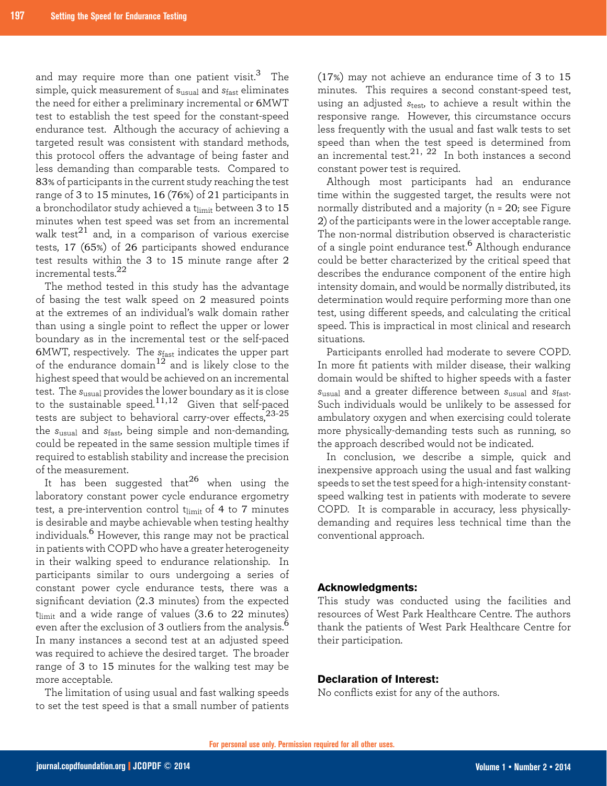and may require more than one patient visit.<sup>3</sup> The simple, quick measurement of susual and *s*fast eliminates the need for either a preliminary incremental or 6MWT test to establish the test speed for the constant-speed endurance test. Although the accuracy of achieving a targeted result was consistent with standard methods, this protocol offers the advantage of being faster and less demanding than comparable tests. Compared to 83% of participants in the current study reaching the test range of 3 to 15 minutes, 16 (76%) of 21 participants in a bronchodilator study achieved a t $_{\rm limit}$  between 3 to 15 minutes when test speed was set from an incremental walk test $^{21}$  and, in a comparison of various exercise tests, 17 (65%) of 26 participants showed endurance test results within the 3 to 15 minute range after 2 incremental tests. $^{22}$ 

The method tested in this study has the advantage of basing the test walk speed on 2 measured points at the extremes of an individual's walk domain rather than using a single point to reflect the upper or lower boundary as in the incremental test or the self-paced 6MWT, respectively. The *s*fast indicates the upper part of the endurance domain<sup>12</sup> and is likely close to the highest speed that would be achieved on an incremental test. The *s*usual provides the lower boundary as it is close to the sustainable speed.11,12 Given that self-paced tests are subject to behavioral carry-over effects,23-25 the *s*usual and *s*fast, being simple and non-demanding, could be repeated in the same session multiple times if required to establish stability and increase the precision of the measurement.

It has been suggested that<sup>26</sup> when using the laboratory constant power cycle endurance ergometry test, a pre-intervention control  $t_{limit}$  of 4 to 7 minutes is desirable and maybe achievable when testing healthy individuals.6 However, this range may not be practical in patients with COPD who have a greater heterogeneity in their walking speed to endurance relationship. In participants similar to ours undergoing a series of constant power cycle endurance tests, there was a significant deviation (2.3 minutes) from the expected  $t$ <sub>limit</sub> and a wide range of values (3.6 to 22 minutes) even after the exclusion of 3 outliers from the analysis.<sup>6</sup> In many instances a second test at an adjusted speed was required to achieve the desired target. The broader range of 3 to 15 minutes for the walking test may be more acceptable.

The limitation of using usual and fast walking speeds to set the test speed is that a small number of patients

(17%) may not achieve an endurance time of 3 to 15 minutes. This requires a second constant-speed test, using an adjusted *s*test, to achieve a result within the responsive range. However, this circumstance occurs less frequently with the usual and fast walk tests to set speed than when the test speed is determined from an incremental test. $^{21,\;22}$  In both instances a second constant power test is required.

Although most participants had an endurance time within the suggested target, the results were not normally distributed and a majority (n = 20; see Figure 2) of the participants were in the lower acceptable range. The non-normal distribution observed is characteristic of a single point endurance test.<sup>6</sup> Although endurance could be better characterized by the critical speed that describes the endurance component of the entire high intensity domain, and would be normally distributed, its determination would require performing more than one test, using different speeds, and calculating the critical speed. This is impractical in most clinical and research situations.

Participants enrolled had moderate to severe COPD. In more fit patients with milder disease, their walking domain would be shifted to higher speeds with a faster *s*usual and a greater difference between *s*usual and *s*fast. Such individuals would be unlikely to be assessed for ambulatory oxygen and when exercising could tolerate more physically-demanding tests such as running, so the approach described would not be indicated.

In conclusion, we describe a simple, quick and inexpensive approach using the usual and fast walking speeds to set the test speed for a high-intensity constantspeed walking test in patients with moderate to severe COPD. It is comparable in accuracy, less physicallydemanding and requires less technical time than the conventional approach.

#### **Acknowledgments:**

This study was conducted using the facilities and resources of West Park Healthcare Centre. The authors thank the patients of West Park Healthcare Centre for their participation.

#### **Declaration of Interest:**

No conflicts exist for any of the authors.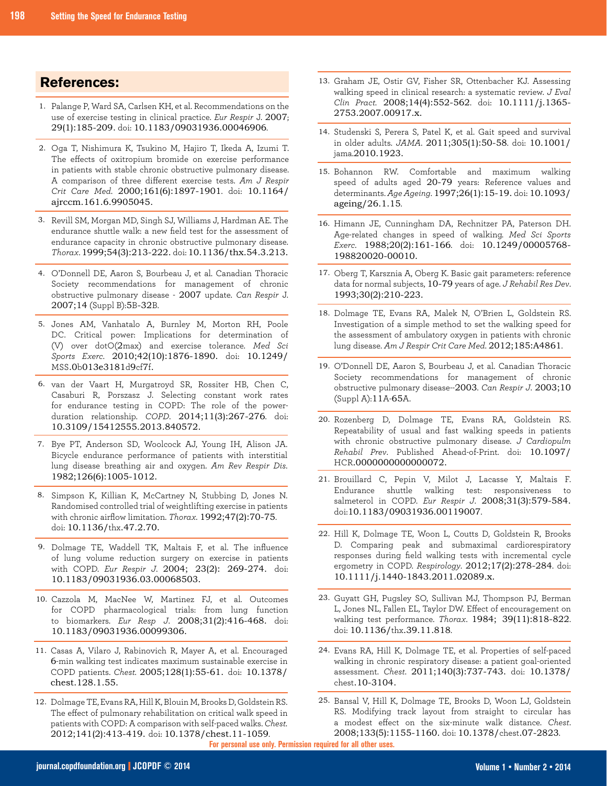## **References:**

- 1. Palange P, Ward SA, Carlsen KH, et al. Recommendations on the use of exercise testing in clinical practice. *Eur Respir* J. 2007; 29(1):185-209. doi: 10.1183/09031936.00046906.
- Oga T, Nishimura K, Tsukino M, Hajiro T, Ikeda A, Izumi T. 2. The effects of oxitropium bromide on exercise performance in patients with stable chronic obstructive pulmonary disease. A comparison of three different exercise tests. *Am J Respir Crit Care Med*. 2000;161(6):1897-1901. doi: 10.1164/ ajrccm.161.6.9905045.
- 3. Revill SM, Morgan MD, Singh SJ, Williams J, Hardman AE. The endurance shuttle walk: a new field test for the assessment of endurance capacity in chronic obstructive pulmonary disease. *Thorax*. 1999;54(3):213-222. doi: 10.1136/thx.54.3.213.
- O'Donnell DE, Aaron S, Bourbeau J, et al. Canadian Thoracic 4. Society recommendations for management of chronic obstructive pulmonary disease - 2007 update. *Can Respir* J. 2007;14 (Suppl B):5B-32B.
- 5. Jones AM, Vanhatalo A, Burnley M, Morton RH, Poole DC. Critical power: Implications for determination of (V) over dotO(2max) and exercise tolerance. *Med Sci Sports Exerc*. 2010;42(10):1876-1890. doi: 10.1249/ MSS.0b013e3181d9cf7f.
- 6. van der Vaart H, Murgatroyd SR, Rossiter HB, Chen C, Casaburi R, Porszasz J. Selecting constant work rates for endurance testing in COPD: The role of the powerduration relationship. *COPD*. 2014;11(3):267-276. doi: 10.3109/15412555.2013.840572.
- 7. Bye PT, Anderson SD, Woolcock AJ, Young IH, Alison JA. Bicycle endurance performance of patients with interstitial lung disease breathing air and oxygen. *Am Rev Respir Dis*. 1982;126(6):1005-1012.
- Simpson K, Killian K, McCartney N, Stubbing D, Jones N. 8. Randomised controlled trial of weightlifting exercise in patients with chronic airflow limitation. *Thorax.* 1992;47(2):70-75. doi: 10.1136/thx.47.2.70.
- 9. Dolmage TE, Waddell TK, Maltais F, et al. The influence of lung volume reduction surgery on exercise in patients with COPD. *Eur Respir J*. 2004; 23(2): 269-274. doi: 10.1183/09031936.03.00068503.
- 10. Cazzola M, MacNee W, Martinez FJ, et al. Outcomes for COPD pharmacological trials: from lung function to biomarkers. *Eur Resp J*. 2008;31(2):416-468. doi: 10.1183/09031936.00099306.
- Casas A, Vilaro J, Rabinovich R, Mayer A, et al. Encouraged 11. 6-min walking test indicates maximum sustainable exercise in COPD patients. *Chest.* 2005;128(1):55-61. doi: 10.1378/ chest.128.1.55.
- 12. Dolmage TE, Evans RA, Hill K, Blouin M, Brooks D, Goldstein RS. The effect of pulmonary rehabilitation on critical walk speed in patients with COPD: A comparison with self-paced walks. *Chest.* 2012;141(2):413-419. doi: 10.1378/chest.11-1059.
- 13. Graham JE, Ostir GV, Fisher SR, Ottenbacher KJ. Assessing walking speed in clinical research: a systematic review. *J Eval Clin Pract.* 2008;14(4):552-562. doi: 10.1111/j.1365- 2753.2007.00917.x.
- 14. Studenski S, Perera S, Patel K, et al. Gait speed and survival in older adults. *JAMA*. 2011;305(1):50-58. doi: 10.1001/ jama.2010.1923.
- 15. Bohannon RW. Comfortable and maximum walking speed of adults aged 20-79 years: Reference values and determinants. *Age Ageing*. 1997;26(1):15-19. doi: 10.1093/ ageing/26.1.15.
- 16. Himann JE, Cunningham DA, Rechnitzer PA, Paterson DH. Age-related changes in speed of walking. *Med Sci Sports Exerc*. 1988;20(2):161-166. doi: 10.1249/00005768- 198820020-00010.
- 17. Oberg T, Karsznia A, Oberg K. Basic gait parameters: reference data for normal subjects, 10-79 years of age. *J Rehabil Res Dev*. 1993;30(2):210-223.
- 18. Dolmage TE, Evans RA, Malek N, O'Brien L, Goldstein RS. Investigation of a simple method to set the walking speed for the assessment of ambulatory oxygen in patients with chronic lung disease. *Am J Respir Crit Care Med*. 2012;185:A4861.
- O'Donnell DE, Aaron S, Bourbeau J, et al. Canadian Thoracic 19. Society recommendations for management of chronic obstructive pulmonary disease--2003. *Can Respir J*. 2003;10 (Suppl A):11A-65A.
- 20. Rozenberg D, Dolmage TE, Evans RA, Goldstein RS. Repeatability of usual and fast walking speeds in patients with chronic obstructive pulmonary disease. *J Cardiopulm Rehabil Prev*. Published Ahead-of-Print. doi: 10.1097/ HCR.0000000000000072.
- 21. Brouillard C, Pepin V, Milot J, Lacasse Y, Maltais F. Endurance shuttle walking test: responsiveness to salmeterol in COPD. *Eur Respir J*. 2008;31(3):579-584. doi:10.1183/09031936.00119007.
- 22. Hill K, Dolmage TE, Woon L, Coutts D, Goldstein R, Brooks D. Comparing peak and submaximal cardiorespiratory responses during field walking tests with incremental cycle ergometry in COPD. *Respirology*. 2012;17(2):278-284. doi: 10.1111/j.1440-1843.2011.02089.x.
- 23. Guyatt GH, Pugsley SO, Sullivan MJ, Thompson PJ, Berman L, Jones NL, Fallen EL, Taylor DW. Effect of encouragement on walking test performance. *Thorax*. 1984; 39(11):818-822. doi: 10.1136/thx.39.11.818.
- Evans RA, Hill K, Dolmage TE, et al. Properties of self-paced 24. walking in chronic respiratory disease: a patient goal-oriented assessment. *Chest*. 2011;140(3):737-743. doi: 10.1378/ chest.10-3104.

25. Bansal V, Hill K, Dolmage TE, Brooks D, Woon LJ, Goldstein RS. Modifying track layout from straight to circular has a modest effect on the six-minute walk distance. *Chest*. 2008;133(5):1155-1160. doi: 10.1378/chest.07-2823.

**For personal use only. Permission required for all other uses.**